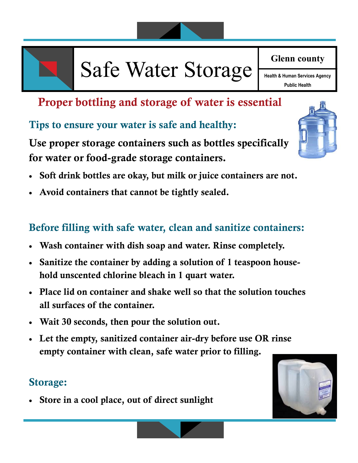

# Safe Water Storage **Health & Human Services Agency**

**Glenn county** 

**Public Health**

### **Proper bottling and storage of water is essential**

#### **Tips to ensure your water is safe and healthy:**

**Use proper storage containers such as bottles specifically for water or food-grade storage containers.** 

- **Soft drink bottles are okay, but milk or juice containers are not.**
- **Avoid containers that cannot be tightly sealed.**

#### **Before filling with safe water, clean and sanitize containers:**

- **Wash container with dish soap and water. Rinse completely.**
- **Sanitize the container by adding a solution of 1 teaspoon household unscented chlorine bleach in 1 quart water.**
- **Place lid on container and shake well so that the solution touches all surfaces of the container.**
- **Wait 30 seconds, then pour the solution out.**
- **Let the empty, sanitized container air-dry before use OR rinse empty container with clean, safe water prior to filling.**

#### **Storage:**

**Store in a cool place, out of direct sunlight**